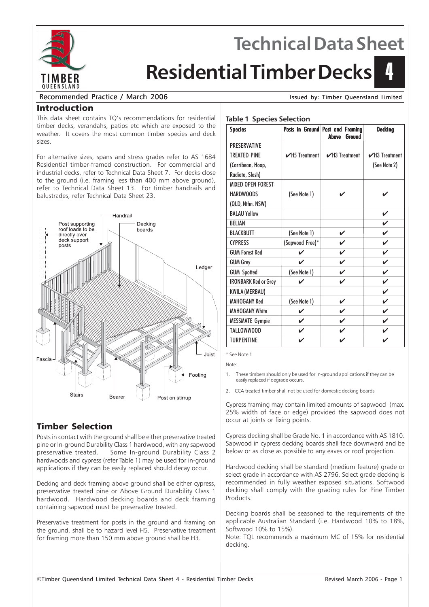

# **Technical Data Sheet**

# **Residential Timber Decks**

#### Recommended Practice / March 2006 Issued by: Timber Queensland Limited

4

#### Introduction

This data sheet contains TQ's recommendations for residential timber decks, verandahs, patios etc which are exposed to the weather. It covers the most common timber species and deck sizes.

For alternative sizes, spans and stress grades refer to AS 1684 Residential timber-framed construction. For commercial and industrial decks, refer to Technical Data Sheet 7. For decks close to the ground (i.e. framing less than 400 mm above ground), refer to Technical Data Sheet 13. For timber handrails and balustrades, refer Technical Data Sheet 23.



# Timber Selection

Posts in contact with the ground shall be either preservative treated pine or In-ground Durability Class 1 hardwood, with any sapwood preservative treated. Some In-ground Durability Class 2 hardwoods and cypress (refer Table 1) may be used for in-ground applications if they can be easily replaced should decay occur.

Decking and deck framing above ground shall be either cypress, preservative treated pine or Above Ground Durability Class 1 hardwood. Hardwood decking boards and deck framing containing sapwood must be preservative treated.

Preservative treatment for posts in the ground and framing on the ground, shall be to hazard level H5. Preservative treatment for framing more than 150 mm above ground shall be H3.

#### **Table 1 Species Selection**

| <b>Species</b>              |                    | Posts in Ground Post and Framing<br><b>Above</b><br><b>Ground</b> | <b>Decking</b>             |
|-----------------------------|--------------------|-------------------------------------------------------------------|----------------------------|
| <b>PRESERVATIVE</b>         |                    |                                                                   |                            |
| <b>TREATED PINE</b>         | $\nu$ H5 Treatment | $\mathcal{V}$ H3 Treatment                                        | $\mathcal{V}$ H3 Treatment |
| (Carribean, Hoop,           |                    |                                                                   | (See Note 2)               |
| Radiata, Slash)             |                    |                                                                   |                            |
| <b>MIXED OPEN FOREST</b>    |                    |                                                                   |                            |
| <b>HARDWOODS</b>            | (See Note 1)       |                                                                   |                            |
| (QLD, Nthn. NSW)            |                    |                                                                   |                            |
| <b>BAI AU Yellow</b>        |                    |                                                                   | ✓                          |
| <b>BELIAN</b>               |                    |                                                                   | ✓                          |
| <b>BLACKBUTT</b>            | (See Note 1)       | V                                                                 | ✓                          |
| <b>CYPRESS</b>              | (Sapwood Free)*    |                                                                   | ✓                          |
| <b>GUM Forest Red</b>       |                    | ✓                                                                 | ✓                          |
| <b>GUM Grey</b>             | ✓                  | V                                                                 | V                          |
| <b>GUM Spotted</b>          | (See Note 1)       | V                                                                 | V                          |
| <b>IRONBARK Red or Grey</b> | ✔                  | ✓                                                                 | V                          |
| KWILA (MERBAU)              |                    |                                                                   | ✓                          |
| <b>MAHOGANY Red</b>         | (See Note 1)       | ✓                                                                 | V                          |
| <b>MAHOGANY White</b>       | ✓                  | ✓                                                                 | V                          |
| <b>MESSMATE Gympie</b>      | V                  |                                                                   | ✓                          |
| TALLOWWOOD                  | ✓                  | ✓                                                                 |                            |
| <b>TURPENTINE</b>           | ✓                  | ✓                                                                 |                            |

\* See Note 1

Note:

- These timbers should only be used for in-ground applications if they can be easily replaced if degrade occurs.
- 2. CCA treated timber shall not be used for domestic decking boards

Cypress framing may contain limited amounts of sapwood (max. 25% width of face or edge) provided the sapwood does not occur at joints or fixing points.

Cypress decking shall be Grade No. 1 in accordance with AS 1810. Sapwood in cypress decking boards shall face downward and be below or as close as possible to any eaves or roof projection.

Hardwood decking shall be standard (medium feature) grade or select grade in accordance with AS 2796. Select grade decking is recommended in fully weather exposed situations. Softwood decking shall comply with the grading rules for Pine Timber Products.

Decking boards shall be seasoned to the requirements of the applicable Australian Standard (i.e. Hardwood 10% to 18%, Softwood 10% to 15%).

Note: TQL recommends a maximum MC of 15% for residential decking.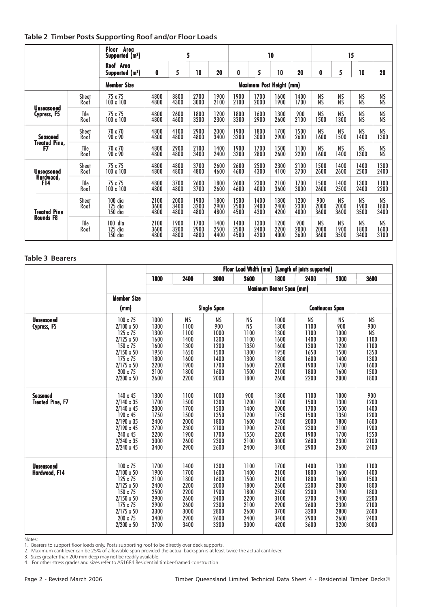#### **Table 2 Timber Posts Supporting Roof and/or Floor Loads**

|                      |                      | Floor Area<br>Supported (m <sup>2</sup> ) |                      | 5                                             |                      |                      |                      |                          | 10                   |                      |                           |                           | 15                        |                           |
|----------------------|----------------------|-------------------------------------------|----------------------|-----------------------------------------------|----------------------|----------------------|----------------------|--------------------------|----------------------|----------------------|---------------------------|---------------------------|---------------------------|---------------------------|
|                      |                      | Roof Area<br>Supported (m <sup>2</sup> )  | 0                    | 5<br>10<br>20<br>5<br>5<br>10<br>20<br>0<br>0 |                      |                      |                      |                          | 10                   | 20                   |                           |                           |                           |                           |
|                      |                      | <b>Member Size</b>                        |                      |                                               |                      |                      |                      | Maximum Post Height (mm) |                      |                      |                           |                           |                           |                           |
|                      | <b>Sheet</b>         | 75 x 75                                   | 4800                 | 3800                                          | 2700                 | 1900                 | 1900                 | 1700                     | 1600                 | 1400                 | <b>NS</b>                 | ΝS                        | <b>NS</b>                 | ΝS                        |
|                      | Roof                 | 100 x 100                                 | 4800                 | 4300                                          | 3000                 | 2100                 | 2100                 | 2000                     | 1900                 | 1700                 | <b>NS</b>                 | <b>NS</b>                 | <b>NS</b>                 | <b>NS</b>                 |
| <b>Unseasoned</b>    | Tile                 | 75 x 75                                   | 4800                 | 2600                                          | 1800                 | 1200                 | 1800                 | 1600                     | 1300                 | 900                  | <b>NS</b>                 | ΝS                        | <b>NS</b>                 | <b>NS</b>                 |
| Cypress, F5          | Roof                 | 100 x 100                                 | 4800                 | 4600                                          | 3200                 | 2300                 | 3300                 | 2900                     | 2600                 | 2100                 | 1500                      | 1300                      | <b>NS</b>                 | <b>NS</b>                 |
| Seasoned             | <b>Sheet</b>         | 70 x 70                                   | 4800                 | 4100                                          | 2900                 | 2000                 | 1900                 | 1800                     | 1700                 | 1500                 | <b>NS</b>                 | <b>NS</b>                 | <b>NS</b>                 | <b>NS</b>                 |
|                      | Roof                 | 90 x 90                                   | 4800                 | 4800                                          | 4800                 | 3400                 | 3200                 | 3000                     | 2900                 | 2600                 | 1600                      | 1500                      | 1400                      | 1300                      |
| <b>Treated Pine.</b> | Tile                 | 70 x 70                                   | 4800                 | 2900                                          | 2100                 | 1400                 | 1900                 | 1700                     | 1500                 | 1100                 | <b>NS</b>                 | <b>NS</b>                 | <b>NS</b>                 | NS                        |
| F7                   | Roof                 | 90 x 90                                   | 4800                 | 4800                                          | 3400                 | 2400                 | 3200                 | 2800                     | 2600                 | 2200                 | 1600                      | 1400                      | 1300                      | <b>NS</b>                 |
| <b>Unseasoned</b>    | <b>Sheet</b>         | 75 x 75                                   | 4800                 | 4800                                          | 3700                 | 2600                 | 2600                 | 2500                     | 2300                 | 2100                 | 1500                      | 1400                      | 1400                      | 1300                      |
|                      | Roof                 | 100 x 100                                 | 4800                 | 4800                                          | 4800                 | 4600                 | 4600                 | 4300                     | 4100                 | 3700                 | 2600                      | 2600                      | 2500                      | 2400                      |
| Hardwood,            | Tile                 | 75 x 75                                   | 4800                 | 3700                                          | 2600                 | 1800                 | 2600                 | 2300                     | 2100                 | 1700                 | 1500                      | 1400                      | 1300                      | 1100                      |
| <b>F14</b>           | Roof                 | 100 x 100                                 | 4800                 | 4800                                          | 3700                 | 2600                 | 4600                 | 4000                     | 3600                 | 3000                 | 2600                      | 2500                      | 2400                      | 2200                      |
| <b>Treated Pine</b>  | <b>Sheet</b><br>Roof | $100$ dia<br>125 dia<br>150 dia           | 2100<br>3600<br>4800 | 2000<br>3400<br>4800                          | 1900<br>3200<br>4800 | 1800<br>2900<br>4800 | 1500<br>2500<br>4500 | 1400<br>2400<br>4300     | 1300<br>2400<br>4200 | 1200<br>2300<br>4000 | 900<br>2000<br>3600       | <b>NS</b><br>2000<br>3600 | <b>NS</b><br>1900<br>3500 | <b>NS</b><br>1800<br>3400 |
| <b>Rounds F8</b>     | Tile<br>Roof         | 100<br>dia<br>125<br>dia<br>150 dia       | 2100<br>3600<br>4800 | 1900<br>3200<br>4800                          | 1700<br>2900<br>4800 | 1400<br>2500<br>4400 | 1400<br>2500<br>4500 | 1300<br>2400<br>4200     | 1200<br>2200<br>4000 | 900<br>2000<br>3600  | <b>NS</b><br>2000<br>3600 | <b>NS</b><br>1900<br>3500 | <b>NS</b><br>1800<br>3400 | <b>NS</b><br>1600<br>3100 |

#### **Table 3 Bearers**

|                                            |                                                                                                                                                                   | <b>Floor Load Width (mm)</b><br>(Length of joists supported)                 |                                                                                   |                                                                              |                                                                                        |                                                                              |                                                                                   |                                                                                  |                                                                                |  |  |
|--------------------------------------------|-------------------------------------------------------------------------------------------------------------------------------------------------------------------|------------------------------------------------------------------------------|-----------------------------------------------------------------------------------|------------------------------------------------------------------------------|----------------------------------------------------------------------------------------|------------------------------------------------------------------------------|-----------------------------------------------------------------------------------|----------------------------------------------------------------------------------|--------------------------------------------------------------------------------|--|--|
|                                            |                                                                                                                                                                   | 1800                                                                         | 2400                                                                              | 3000                                                                         | 3600                                                                                   | 1800                                                                         | 2400                                                                              | 3000                                                                             | 3600                                                                           |  |  |
|                                            |                                                                                                                                                                   |                                                                              |                                                                                   |                                                                              | Maximum Bearer Span (mm)                                                               |                                                                              |                                                                                   |                                                                                  |                                                                                |  |  |
|                                            | <b>Member Size</b>                                                                                                                                                |                                                                              |                                                                                   |                                                                              |                                                                                        |                                                                              |                                                                                   |                                                                                  |                                                                                |  |  |
|                                            | (mm)                                                                                                                                                              |                                                                              |                                                                                   | <b>Single Span</b>                                                           |                                                                                        | <b>Continuous Span</b>                                                       |                                                                                   |                                                                                  |                                                                                |  |  |
| <b>Unseasoned</b><br>Cypress, F5           | 100 x 75<br>$2/100 \times 50$<br>125 x 75<br>$2/125 \times 50$<br>150 x 75<br>$2/150 \times 50$<br>175 x 75<br>$2/175 \times 50$<br>200 x 75<br>$2/200 \times 50$ | 1000<br>1300<br>1300<br>1600<br>1600<br>1950<br>1800<br>2200<br>2100<br>2600 | <b>NS</b><br>1100<br>1100<br>1400<br>1300<br>1650<br>1600<br>1900<br>1800<br>2200 | NS<br>900<br>1000<br>1300<br>1200<br>1500<br>1400<br>1700<br>1600<br>2000    | <b>NS</b><br><b>NS</b><br>1100<br>1100<br>1350<br>1300<br>1300<br>1600<br>1500<br>1800 | 1000<br>1300<br>1300<br>1600<br>1600<br>1950<br>1800<br>2200<br>2100<br>2600 | <b>NS</b><br>1100<br>1100<br>1400<br>1300<br>1650<br>1600<br>1900<br>1800<br>2200 | <b>NS</b><br>900<br>1000<br>1300<br>1200<br>1500<br>1400<br>1700<br>1600<br>2000 | NS<br>900<br><b>NS</b><br>1100<br>1100<br>1350<br>1300<br>1600<br>1500<br>1800 |  |  |
| <b>Seasoned</b><br><b>Treated Pine, F7</b> | 140 x 45<br>$2/140 \times 35$<br>$2/140 \times 45$<br>190 x 45<br>2/190 x 35<br>$2/190 \times 45$<br>240 x 45<br>2/240 x 35<br>$2/240 \times 45$                  | 1300<br>1700<br>2000<br>1750<br>2400<br>2700<br>2200<br>3000<br>3400         | 1100<br>1500<br>1700<br>1500<br>2000<br>2300<br>1900<br>2600<br>2900              | 1000<br>1300<br>1500<br>1350<br>1800<br>2100<br>1700<br>2300<br>2600         | 900<br>1200<br>1400<br>1200<br>1600<br>1900<br>1550<br>2100<br>2400                    | 1300<br>1700<br>2000<br>1750<br>2400<br>2700<br>2200<br>3000<br>3400         | 1100<br>1500<br>1700<br>1500<br>2000<br>2300<br>1900<br>2600<br>2900              | 1000<br>1300<br>1500<br>1350<br>1800<br>2100<br>1700<br>2300<br>2600             | 900<br>1200<br>1400<br>1200<br>1600<br>1900<br>1550<br>2100<br>2400            |  |  |
| <b>Unseasoned</b><br>Hardwood, F14         | 100 x 75<br>$2/100 \times 50$<br>125 x 75<br>$2/125 \times 50$<br>150 x 75<br>$2/150 \times 50$<br>175 x 75<br>2/175 x 50<br>200 x 75<br>$2/200 \times 50$        | 1700<br>1900<br>2100<br>2400<br>2500<br>2900<br>2900<br>3300<br>3400<br>3700 | 1400<br>1700<br>1800<br>2200<br>2200<br>2600<br>2600<br>3000<br>2900<br>3400      | 1300<br>1600<br>1600<br>2000<br>1900<br>2400<br>2300<br>2800<br>2600<br>3200 | 1100<br>1400<br>1500<br>1800<br>1800<br>2200<br>2100<br>2600<br>2400<br>3000           | 1700<br>2100<br>2100<br>2600<br>2500<br>3100<br>2900<br>3700<br>3400<br>4200 | 1400<br>1800<br>1800<br>2300<br>2200<br>2700<br>2600<br>3200<br>2900<br>3600      | 1300<br>1600<br>1600<br>2000<br>1900<br>2400<br>2300<br>2800<br>2600<br>3200     | 1100<br>1400<br>1500<br>1800<br>1800<br>2200<br>2100<br>2600<br>2400<br>3000   |  |  |

Notes:

1. Bearers to support floor loads only. Posts supporting roof to be directly over deck supports.

2. Maximum cantilever can be 25% of allowable span provided the actual backspan is at least twice the actual cantilever.

3. Sizes greater than 200 mm deep may not be readily available. 4. For other stress grades and sizes refer to AS1684 Residential timber-framed construction.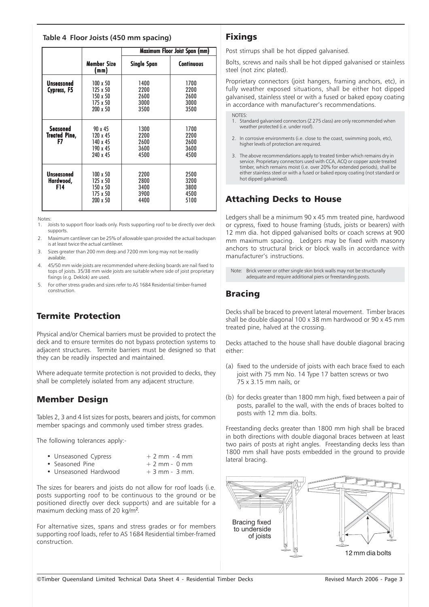#### **Table 4 Floor Joists (450 mm spacing)**

|                                               |                                                                        | Maximum Floor Joist Span (mm)        |                                      |  |  |
|-----------------------------------------------|------------------------------------------------------------------------|--------------------------------------|--------------------------------------|--|--|
|                                               | <b>Member Size</b><br>(mm)                                             | <b>Single Span</b>                   | <b>Continuous</b>                    |  |  |
| Unseasoned<br>Cypress, F5                     | $100 \times 50$<br>125 x 50<br>150 x 50<br>175 x 50<br>200 x 50        | 1400<br>2200<br>2600<br>3000<br>3500 | 1700<br>2200<br>2600<br>3000<br>3500 |  |  |
| <b>Seasoned</b><br><b>Treated Pine,</b><br>F7 | 90 x 45<br>120 x 45<br>140 x 45<br>190 x 45<br>240 x 45                | 1300<br>2200<br>2600<br>3600<br>4500 | 1700<br>2200<br>2600<br>3600<br>4500 |  |  |
| Unseasoned<br>Hardwood,<br>F14                | $100 \times 50$<br>$125 \times 50$<br>150 x 50<br>175 x 50<br>200 x 50 | 2200<br>2800<br>3400<br>3900<br>4400 | 2500<br>3200<br>3800<br>4500<br>5100 |  |  |

Notes:

- 1. Joists to support floor loads only. Posts supporting roof to be directly over deck supports.
- Maximum cantilever can be 25% of allowable span provided the actual backspan is at least twice the actual cantilever.
- 3. Sizes greater than 200 mm deep and 7200 mm long may not be readily available.
- 4. 45/50 mm wide joists are recommended where decking boards are nail fixed to tops of joists. 35/38 mm wide joists are suitable where side of joist proprietary fixings (e.g. Deklok) are used.
- 5. For other stress grades and sizes refer to AS 1684 Residential timber-framed construction.

# Termite Protection

Physical and/or Chemical barriers must be provided to protect the deck and to ensure termites do not bypass protection systems to adjacent structures. Termite barriers must be designed so that they can be readily inspected and maintained.

Where adequate termite protection is not provided to decks, they shall be completely isolated from any adjacent structure.

# Member Design

Tables 2, 3 and 4 list sizes for posts, bearers and joists, for common member spacings and commonly used timber stress grades.

The following tolerances apply:-

| • Unseasoned Cypress | $+2$ mm $-4$ mm |
|----------------------|-----------------|
|----------------------|-----------------|

- Seasoned Pine  $+ 2$  mm 0 mm<br>• Unseasoned Hardwood  $+ 3$  mm 3 mm.
- Unseasoned Hardwood

The sizes for bearers and joists do not allow for roof loads (i.e. posts supporting roof to be continuous to the ground or be positioned directly over deck supports) and are suitable for a maximum decking mass of 20 kg/m<sup>2</sup>.

For alternative sizes, spans and stress grades or for members supporting roof loads, refer to AS 1684 Residential timber-framed construction.

#### Fixings

Post stirrups shall be hot dipped galvanised.

Bolts, screws and nails shall be hot dipped galvanised or stainless steel (not zinc plated).

Proprietary connectors (joist hangers, framing anchors, etc), in fully weather exposed situations, shall be either hot dipped galvanised, stainless steel or with a fused or baked epoxy coating in accordance with manufacturer's recommendations.

#### **NOTES**

- 1. Standard galvanised connectors (Z 275 class) are only recommended when weather protected (i.e. under roof).
- 2. In corrosive environments (i.e. close to the coast, swimming pools, etc), higher levels of protection are required.
- 3. The above recommendations apply to treated timber which remains dry in service. Proprietary connectors used with CCA, ACQ or copper azole treated timber, which remains moist (i.e. over 20% for extended periods), shall be either stainless steel or with a fused or baked epoxy coating (not standard or hot dipped galvanised).

# Attaching Decks to House

Ledgers shall be a minimum 90 x 45 mm treated pine, hardwood or cypress, fixed to house framing (studs, joists or bearers) with 12 mm dia. hot dipped galvanised bolts or coach screws at 900 mm maximum spacing. Ledgers may be fixed with masonry anchors to structural brick or block walls in accordance with manufacturer's instructions.

Note: Brick veneer or other single skin brick walls may not be structurally adequate and require additional piers or freestanding posts.

# Bracing

Decks shall be braced to prevent lateral movement. Timber braces shall be double diagonal 100 x 38 mm hardwood or 90 x 45 mm treated pine, halved at the crossing.

Decks attached to the house shall have double diagonal bracing either:

- (a) fixed to the underside of joists with each brace fixed to each joist with 75 mm No. 14 Type 17 batten screws or two 75 x 3.15 mm nails, or
- (b) for decks greater than 1800 mm high, fixed between a pair of posts, parallel to the wall, with the ends of braces bolted to posts with 12 mm dia. bolts.

Freestanding decks greater than 1800 mm high shall be braced in both directions with double diagonal braces between at least two pairs of posts at right angles. Freestanding decks less than 1800 mm shall have posts embedded in the ground to provide lateral bracing.

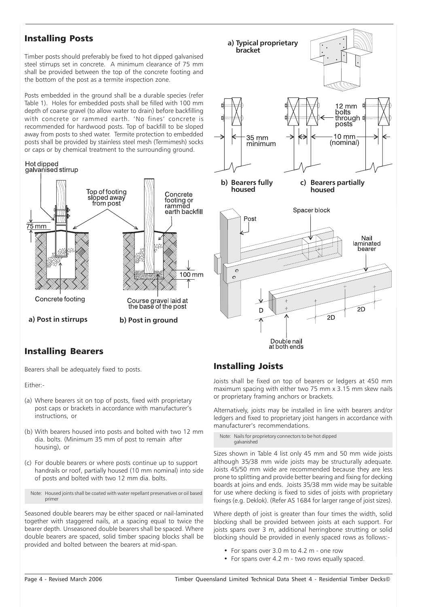#### Installing Posts

Timber posts should preferably be fixed to hot dipped galvanised steel stirrups set in concrete. A minimum clearance of 75 mm shall be provided between the top of the concrete footing and the bottom of the post as a termite inspection zone.

Posts embedded in the ground shall be a durable species (refer Table 1). Holes for embedded posts shall be filled with 100 mm depth of coarse gravel (to allow water to drain) before backfilling with concrete or rammed earth. 'No fines' concrete is recommended for hardwood posts. Top of backfill to be sloped away from posts to shed water. Termite protection to embedded posts shall be provided by stainless steel mesh (Termimesh) socks or caps or by chemical treatment to the surrounding ground.





#### Installing Bearers

Bearers shall be adequately fixed to posts.

Either:-

- (a) Where bearers sit on top of posts, fixed with proprietary post caps or brackets in accordance with manufacturer's instructions, or
- (b) With bearers housed into posts and bolted with two 12 mm dia. bolts. (Minimum 35 mm of post to remain after housing), or
- (c) For double bearers or where posts continue up to support handrails or roof, partially housed (10 mm nominal) into side of posts and bolted with two 12 mm dia. bolts.

Note: Housed joints shall be coated with water repellant preservatives or oil based primer

Seasoned double bearers may be either spaced or nail-laminated together with staggered nails, at a spacing equal to twice the bearer depth. Unseasoned double bearers shall be spaced. Where double bearers are spaced, solid timber spacing blocks shall be provided and bolted between the bearers at mid-span.

#### Installing Joists

Joists shall be fixed on top of bearers or ledgers at 450 mm maximum spacing with either two 75 mm x 3.15 mm skew nails or proprietary framing anchors or brackets.

Alternatively, joists may be installed in line with bearers and/or ledgers and fixed to proprietary joist hangers in accordance with manufacturer's recommendations.

Note: Nails for proprietory connectors to be hot dipped galvanished

Sizes shown in Table 4 list only 45 mm and 50 mm wide joists although 35/38 mm wide joists may be structurally adequate. Joists 45/50 mm wide are recommended because they are less prone to splitting and provide better bearing and fixing for decking boards at joins and ends. Joists 35/38 mm wide may be suitable for use where decking is fixed to sides of joists with proprietary fixings (e.g. Deklok). (Refer AS 1684 for larger range of joist sizes).

Where depth of joist is greater than four times the width, solid blocking shall be provided between joists at each support. For joists spans over 3 m, additional herringbone strutting or solid blocking should be provided in evenly spaced rows as follows:-

- For spans over 3.0 m to 4.2 m one row
- For spans over 4.2 m two rows equally spaced.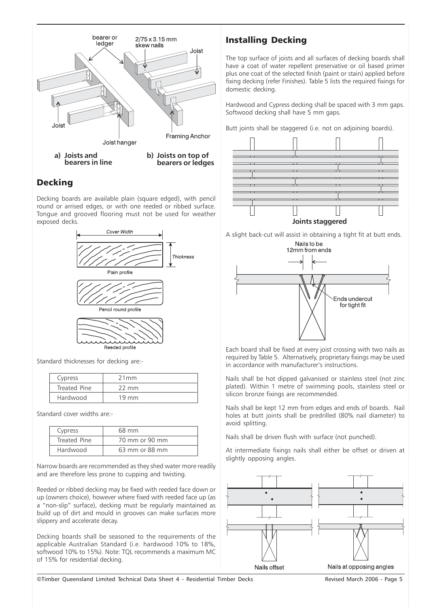

# Decking

Decking boards are available plain (square edged), with pencil round or arrised edges, or with one reeded or ribbed surface. Tongue and grooved flooring must not be used for weather exposed decks.



Standard thicknesses for decking are:-

| Cypress      | 21mm            |
|--------------|-----------------|
| Treated Pine | $22 \text{ mm}$ |
| Hardwood     | $19 \text{ mm}$ |

Standard cover widths are:-

| Cypress      | 68 mm          |
|--------------|----------------|
| Treated Pine | 70 mm or 90 mm |
| Hardwood     | 63 mm or 88 mm |

Narrow boards are recommended as they shed water more readily and are therefore less prone to cupping and twisting.

Reeded or ribbed decking may be fixed with reeded face down or up (owners choice), however where fixed with reeded face up (as a "non-slip" surface), decking must be regularly maintained as build up of dirt and mould in grooves can make surfaces more slippery and accelerate decay.

Decking boards shall be seasoned to the requirements of the applicable Australian Standard (i.e. hardwood 10% to 18%, softwood 10% to 15%). Note: TQL recommends a maximum MC of 15% for residential decking.

# Installing Decking

The top surface of joists and all surfaces of decking boards shall have a coat of water repellent preservative or oil based primer plus one coat of the selected finish (paint or stain) applied before fixing decking (refer Finishes). Table 5 lists the required fixings for domestic decking.

Hardwood and Cypress decking shall be spaced with 3 mm gaps. Softwood decking shall have 5 mm gaps.

Butt joints shall be staggered (i.e. not on adjoining boards).



A slight back-cut will assist in obtaining a tight fit at butt ends.



Each board shall be fixed at every joist crossing with two nails as required by Table 5. Alternatively, proprietary fixings may be used in accordance with manufacturer's instructions.

Nails shall be hot dipped galvanised or stainless steel (not zinc plated). Within 1 metre of swimming pools, stainless steel or silicon bronze fixings are recommended.

Nails shall be kept 12 mm from edges and ends of boards. Nail holes at butt joints shall be predrilled (80% nail diameter) to avoid splitting.

Nails shall be driven flush with surface (not punched).

At intermediate fixings nails shall either be offset or driven at slightly opposing angles.



©Timber Queensland Limited Technical Data Sheet 4 - Residential Timber Decks Revised March 2006 - Page 5